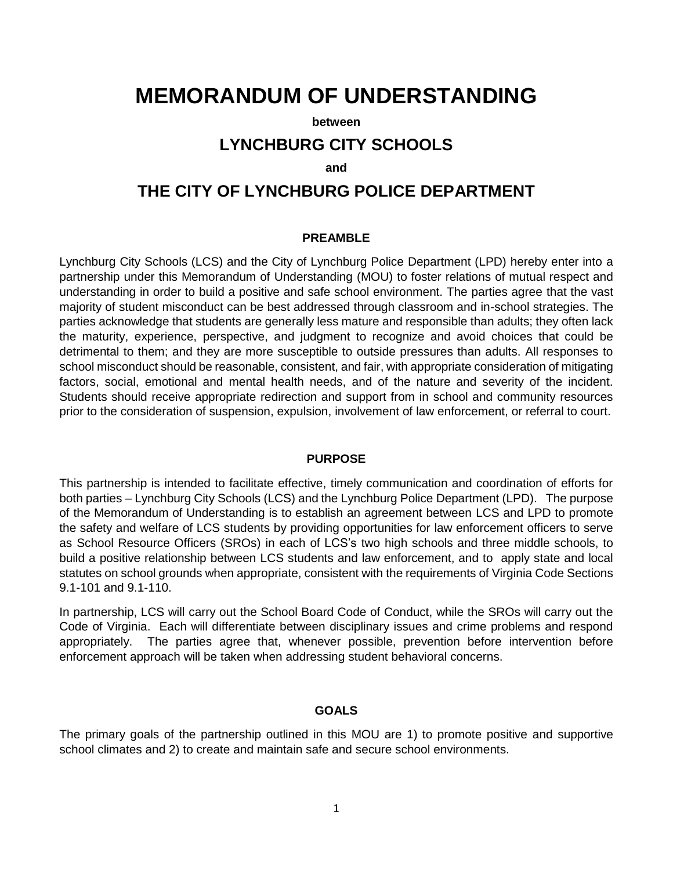# **MEMORANDUM OF UNDERSTANDING**

#### **between**

## **LYNCHBURG CITY SCHOOLS**

#### **and**

# **THE CITY OF LYNCHBURG POLICE DEPARTMENT**

#### **PREAMBLE**

Lynchburg City Schools (LCS) and the City of Lynchburg Police Department (LPD) hereby enter into a partnership under this Memorandum of Understanding (MOU) to foster relations of mutual respect and understanding in order to build a positive and safe school environment. The parties agree that the vast majority of student misconduct can be best addressed through classroom and in-school strategies. The parties acknowledge that students are generally less mature and responsible than adults; they often lack the maturity, experience, perspective, and judgment to recognize and avoid choices that could be detrimental to them; and they are more susceptible to outside pressures than adults. All responses to school misconduct should be reasonable, consistent, and fair, with appropriate consideration of mitigating factors, social, emotional and mental health needs, and of the nature and severity of the incident. Students should receive appropriate redirection and support from in school and community resources prior to the consideration of suspension, expulsion, involvement of law enforcement, or referral to court.

#### **PURPOSE**

This partnership is intended to facilitate effective, timely communication and coordination of efforts for both parties – Lynchburg City Schools (LCS) and the Lynchburg Police Department (LPD). The purpose of the Memorandum of Understanding is to establish an agreement between LCS and LPD to promote the safety and welfare of LCS students by providing opportunities for law enforcement officers to serve as School Resource Officers (SROs) in each of LCS's two high schools and three middle schools, to build a positive relationship between LCS students and law enforcement, and to apply state and local statutes on school grounds when appropriate, consistent with the requirements of Virginia Code Sections 9.1-101 and 9.1-110.

In partnership, LCS will carry out the School Board Code of Conduct, while the SROs will carry out the Code of Virginia. Each will differentiate between disciplinary issues and crime problems and respond appropriately. The parties agree that, whenever possible, prevention before intervention before enforcement approach will be taken when addressing student behavioral concerns.

#### **GOALS**

The primary goals of the partnership outlined in this MOU are 1) to promote positive and supportive school climates and 2) to create and maintain safe and secure school environments.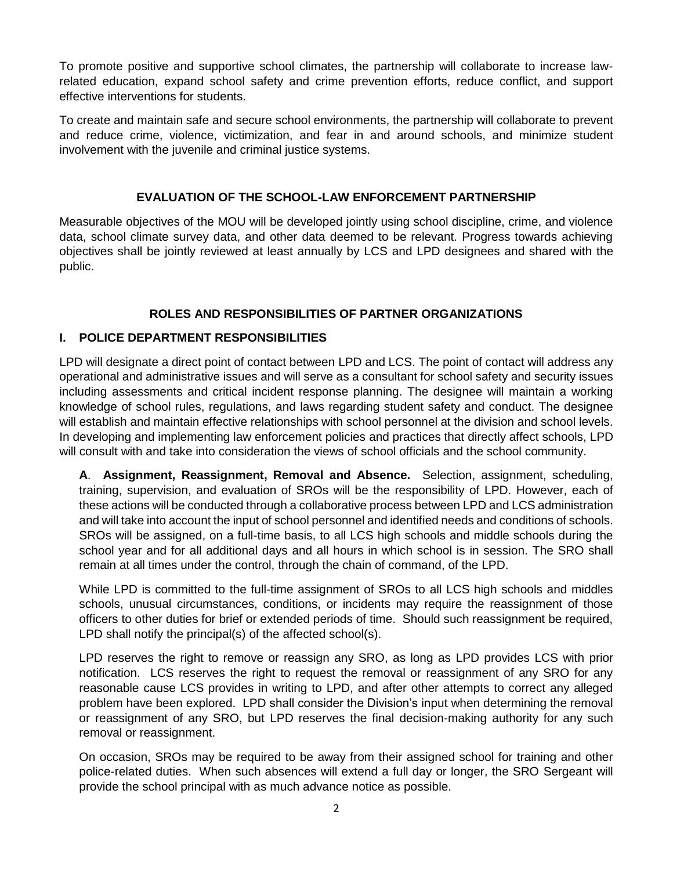To promote positive and supportive school climates, the partnership will collaborate to increase lawrelated education, expand school safety and crime prevention efforts, reduce conflict, and support effective interventions for students.

To create and maintain safe and secure school environments, the partnership will collaborate to prevent and reduce crime, violence, victimization, and fear in and around schools, and minimize student involvement with the juvenile and criminal justice systems.

#### **EVALUATION OF THE SCHOOL-LAW ENFORCEMENT PARTNERSHIP**

Measurable objectives of the MOU will be developed jointly using school discipline, crime, and violence data, school climate survey data, and other data deemed to be relevant. Progress towards achieving objectives shall be jointly reviewed at least annually by LCS and LPD designees and shared with the public.

## **ROLES AND RESPONSIBILITIES OF PARTNER ORGANIZATIONS**

### **I. POLICE DEPARTMENT RESPONSIBILITIES**

LPD will designate a direct point of contact between LPD and LCS. The point of contact will address any operational and administrative issues and will serve as a consultant for school safety and security issues including assessments and critical incident response planning. The designee will maintain a working knowledge of school rules, regulations, and laws regarding student safety and conduct. The designee will establish and maintain effective relationships with school personnel at the division and school levels. In developing and implementing law enforcement policies and practices that directly affect schools, LPD will consult with and take into consideration the views of school officials and the school community.

**A**. **Assignment, Reassignment, Removal and Absence.** Selection, assignment, scheduling, training, supervision, and evaluation of SROs will be the responsibility of LPD. However, each of these actions will be conducted through a collaborative process between LPD and LCS administration and will take into account the input of school personnel and identified needs and conditions of schools. SROs will be assigned, on a full-time basis, to all LCS high schools and middle schools during the school year and for all additional days and all hours in which school is in session. The SRO shall remain at all times under the control, through the chain of command, of the LPD.

While LPD is committed to the full-time assignment of SROs to all LCS high schools and middles schools, unusual circumstances, conditions, or incidents may require the reassignment of those officers to other duties for brief or extended periods of time. Should such reassignment be required, LPD shall notify the principal(s) of the affected school(s).

LPD reserves the right to remove or reassign any SRO, as long as LPD provides LCS with prior notification. LCS reserves the right to request the removal or reassignment of any SRO for any reasonable cause LCS provides in writing to LPD, and after other attempts to correct any alleged problem have been explored. LPD shall consider the Division's input when determining the removal or reassignment of any SRO, but LPD reserves the final decision-making authority for any such removal or reassignment.

On occasion, SROs may be required to be away from their assigned school for training and other police-related duties. When such absences will extend a full day or longer, the SRO Sergeant will provide the school principal with as much advance notice as possible.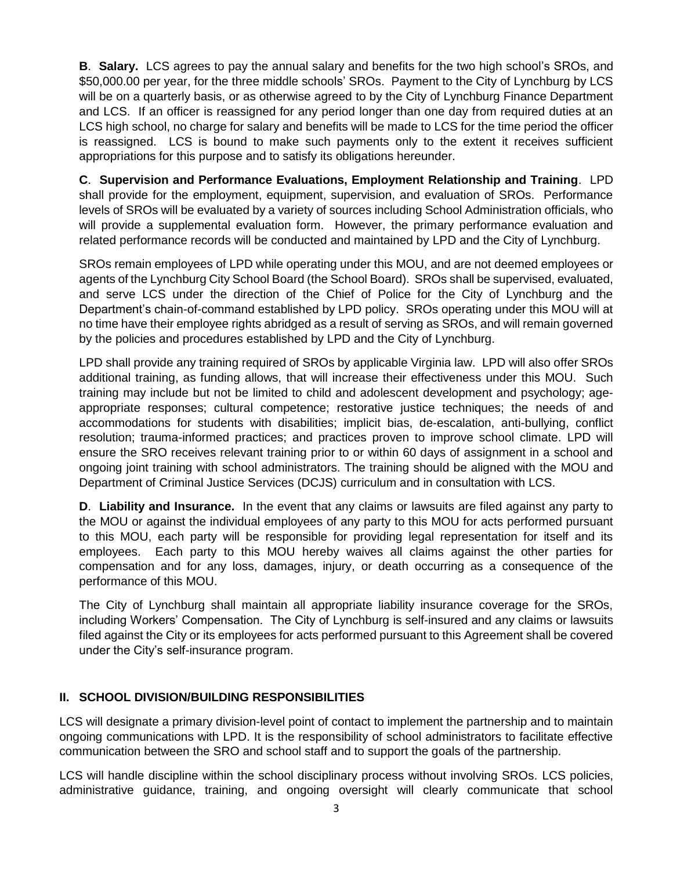**B**. **Salary.** LCS agrees to pay the annual salary and benefits for the two high school's SROs, and \$50,000.00 per year, for the three middle schools' SROs. Payment to the City of Lynchburg by LCS will be on a quarterly basis, or as otherwise agreed to by the City of Lynchburg Finance Department and LCS. If an officer is reassigned for any period longer than one day from required duties at an LCS high school, no charge for salary and benefits will be made to LCS for the time period the officer is reassigned. LCS is bound to make such payments only to the extent it receives sufficient appropriations for this purpose and to satisfy its obligations hereunder.

**C**. **Supervision and Performance Evaluations, Employment Relationship and Training**. LPD shall provide for the employment, equipment, supervision, and evaluation of SROs. Performance levels of SROs will be evaluated by a variety of sources including School Administration officials, who will provide a supplemental evaluation form. However, the primary performance evaluation and related performance records will be conducted and maintained by LPD and the City of Lynchburg.

SROs remain employees of LPD while operating under this MOU, and are not deemed employees or agents of the Lynchburg City School Board (the School Board). SROs shall be supervised, evaluated, and serve LCS under the direction of the Chief of Police for the City of Lynchburg and the Department's chain-of-command established by LPD policy. SROs operating under this MOU will at no time have their employee rights abridged as a result of serving as SROs, and will remain governed by the policies and procedures established by LPD and the City of Lynchburg.

LPD shall provide any training required of SROs by applicable Virginia law. LPD will also offer SROs additional training, as funding allows, that will increase their effectiveness under this MOU. Such training may include but not be limited to child and adolescent development and psychology; ageappropriate responses; cultural competence; restorative justice techniques; the needs of and accommodations for students with disabilities; implicit bias, de-escalation, anti-bullying, conflict resolution; trauma-informed practices; and practices proven to improve school climate. LPD will ensure the SRO receives relevant training prior to or within 60 days of assignment in a school and ongoing joint training with school administrators. The training should be aligned with the MOU and Department of Criminal Justice Services (DCJS) curriculum and in consultation with LCS.

**D**. **Liability and Insurance.** In the event that any claims or lawsuits are filed against any party to the MOU or against the individual employees of any party to this MOU for acts performed pursuant to this MOU, each party will be responsible for providing legal representation for itself and its employees. Each party to this MOU hereby waives all claims against the other parties for compensation and for any loss, damages, injury, or death occurring as a consequence of the performance of this MOU.

The City of Lynchburg shall maintain all appropriate liability insurance coverage for the SROs, including Workers' Compensation. The City of Lynchburg is self-insured and any claims or lawsuits filed against the City or its employees for acts performed pursuant to this Agreement shall be covered under the City's self-insurance program.

## **II. SCHOOL DIVISION/BUILDING RESPONSIBILITIES**

LCS will designate a primary division-level point of contact to implement the partnership and to maintain ongoing communications with LPD. It is the responsibility of school administrators to facilitate effective communication between the SRO and school staff and to support the goals of the partnership.

LCS will handle discipline within the school disciplinary process without involving SROs. LCS policies, administrative guidance, training, and ongoing oversight will clearly communicate that school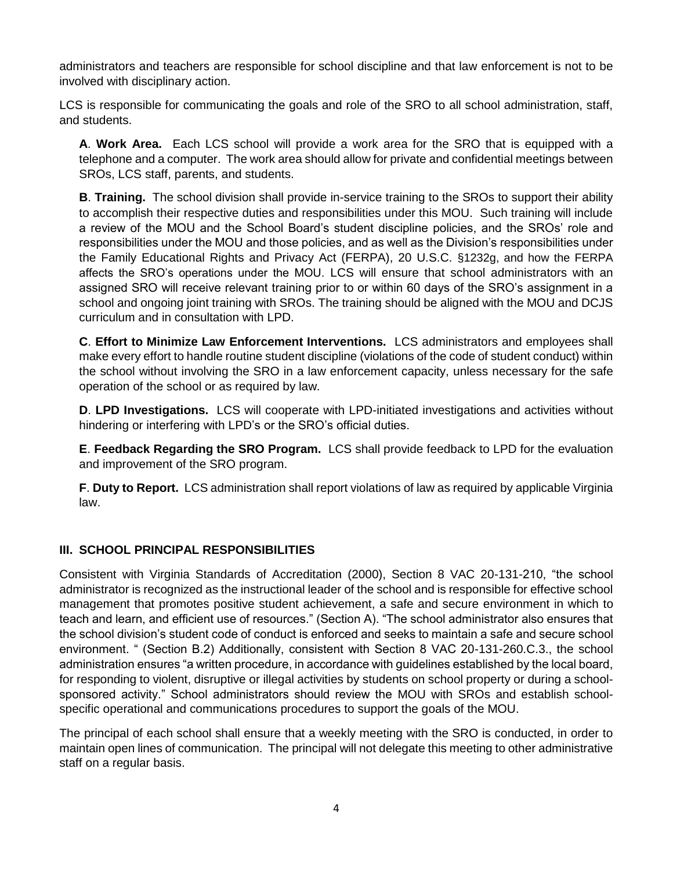administrators and teachers are responsible for school discipline and that law enforcement is not to be involved with disciplinary action.

LCS is responsible for communicating the goals and role of the SRO to all school administration, staff, and students.

**A**. **Work Area.** Each LCS school will provide a work area for the SRO that is equipped with a telephone and a computer. The work area should allow for private and confidential meetings between SROs, LCS staff, parents, and students.

**B**. **Training.** The school division shall provide in-service training to the SROs to support their ability to accomplish their respective duties and responsibilities under this MOU. Such training will include a review of the MOU and the School Board's student discipline policies, and the SROs' role and responsibilities under the MOU and those policies, and as well as the Division's responsibilities under the Family Educational Rights and Privacy Act (FERPA), 20 U.S.C. §1232g, and how the FERPA affects the SRO's operations under the MOU. LCS will ensure that school administrators with an assigned SRO will receive relevant training prior to or within 60 days of the SRO's assignment in a school and ongoing joint training with SROs. The training should be aligned with the MOU and DCJS curriculum and in consultation with LPD.

**C**. **Effort to Minimize Law Enforcement Interventions.** LCS administrators and employees shall make every effort to handle routine student discipline (violations of the code of student conduct) within the school without involving the SRO in a law enforcement capacity, unless necessary for the safe operation of the school or as required by law.

**D**. **LPD Investigations.** LCS will cooperate with LPD-initiated investigations and activities without hindering or interfering with LPD's or the SRO's official duties.

**E**. **Feedback Regarding the SRO Program.** LCS shall provide feedback to LPD for the evaluation and improvement of the SRO program.

**F**. **Duty to Report.** LCS administration shall report violations of law as required by applicable Virginia law.

## **III. SCHOOL PRINCIPAL RESPONSIBILITIES**

Consistent with Virginia Standards of Accreditation (2000), Section 8 VAC 20-131-210, "the school administrator is recognized as the instructional leader of the school and is responsible for effective school management that promotes positive student achievement, a safe and secure environment in which to teach and learn, and efficient use of resources." (Section A). "The school administrator also ensures that the school division's student code of conduct is enforced and seeks to maintain a safe and secure school environment. " (Section B.2) Additionally, consistent with Section 8 VAC 20-131-260.C.3., the school administration ensures "a written procedure, in accordance with guidelines established by the local board, for responding to violent, disruptive or illegal activities by students on school property or during a schoolsponsored activity." School administrators should review the MOU with SROs and establish schoolspecific operational and communications procedures to support the goals of the MOU.

The principal of each school shall ensure that a weekly meeting with the SRO is conducted, in order to maintain open lines of communication. The principal will not delegate this meeting to other administrative staff on a regular basis.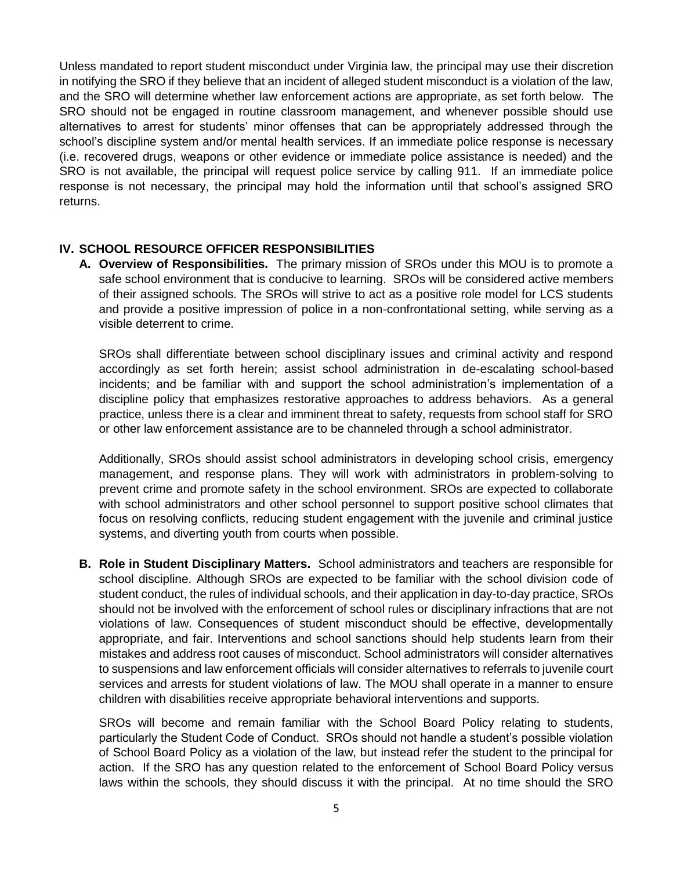Unless mandated to report student misconduct under Virginia law, the principal may use their discretion in notifying the SRO if they believe that an incident of alleged student misconduct is a violation of the law, and the SRO will determine whether law enforcement actions are appropriate, as set forth below. The SRO should not be engaged in routine classroom management, and whenever possible should use alternatives to arrest for students' minor offenses that can be appropriately addressed through the school's discipline system and/or mental health services. If an immediate police response is necessary (i.e. recovered drugs, weapons or other evidence or immediate police assistance is needed) and the SRO is not available, the principal will request police service by calling 911. If an immediate police response is not necessary, the principal may hold the information until that school's assigned SRO returns.

#### **IV. SCHOOL RESOURCE OFFICER RESPONSIBILITIES**

**A. Overview of Responsibilities.** The primary mission of SROs under this MOU is to promote a safe school environment that is conducive to learning. SROs will be considered active members of their assigned schools. The SROs will strive to act as a positive role model for LCS students and provide a positive impression of police in a non-confrontational setting, while serving as a visible deterrent to crime.

SROs shall differentiate between school disciplinary issues and criminal activity and respond accordingly as set forth herein; assist school administration in de-escalating school-based incidents; and be familiar with and support the school administration's implementation of a discipline policy that emphasizes restorative approaches to address behaviors. As a general practice, unless there is a clear and imminent threat to safety, requests from school staff for SRO or other law enforcement assistance are to be channeled through a school administrator.

Additionally, SROs should assist school administrators in developing school crisis, emergency management, and response plans. They will work with administrators in problem-solving to prevent crime and promote safety in the school environment. SROs are expected to collaborate with school administrators and other school personnel to support positive school climates that focus on resolving conflicts, reducing student engagement with the juvenile and criminal justice systems, and diverting youth from courts when possible.

**B. Role in Student Disciplinary Matters.** School administrators and teachers are responsible for school discipline. Although SROs are expected to be familiar with the school division code of student conduct, the rules of individual schools, and their application in day-to-day practice, SROs should not be involved with the enforcement of school rules or disciplinary infractions that are not violations of law. Consequences of student misconduct should be effective, developmentally appropriate, and fair. Interventions and school sanctions should help students learn from their mistakes and address root causes of misconduct. School administrators will consider alternatives to suspensions and law enforcement officials will consider alternatives to referrals to juvenile court services and arrests for student violations of law. The MOU shall operate in a manner to ensure children with disabilities receive appropriate behavioral interventions and supports.

SROs will become and remain familiar with the School Board Policy relating to students, particularly the Student Code of Conduct. SROs should not handle a student's possible violation of School Board Policy as a violation of the law, but instead refer the student to the principal for action. If the SRO has any question related to the enforcement of School Board Policy versus laws within the schools, they should discuss it with the principal. At no time should the SRO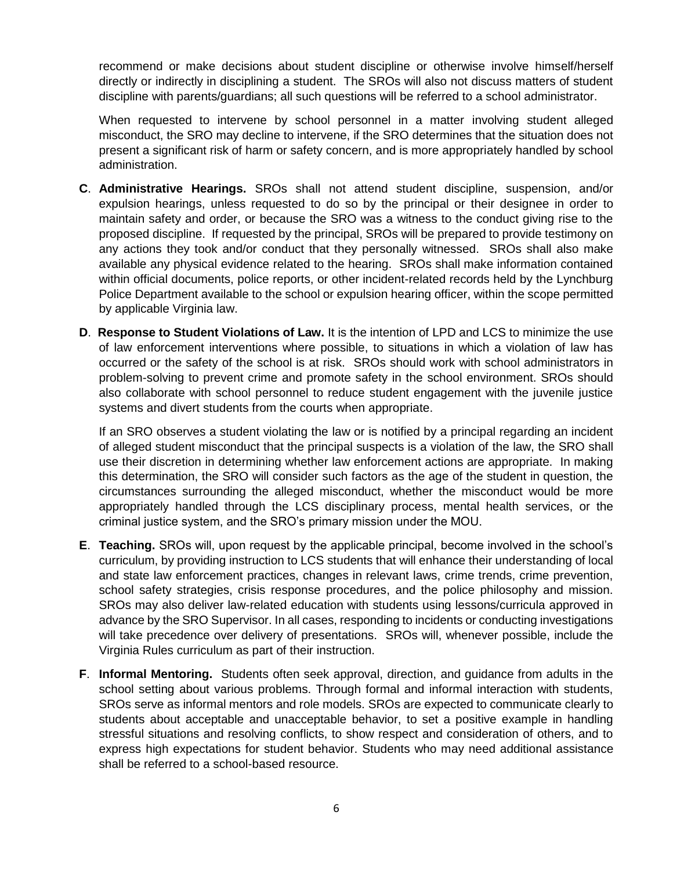recommend or make decisions about student discipline or otherwise involve himself/herself directly or indirectly in disciplining a student. The SROs will also not discuss matters of student discipline with parents/guardians; all such questions will be referred to a school administrator.

When requested to intervene by school personnel in a matter involving student alleged misconduct, the SRO may decline to intervene, if the SRO determines that the situation does not present a significant risk of harm or safety concern, and is more appropriately handled by school administration.

- **C**. **Administrative Hearings.** SROs shall not attend student discipline, suspension, and/or expulsion hearings, unless requested to do so by the principal or their designee in order to maintain safety and order, or because the SRO was a witness to the conduct giving rise to the proposed discipline. If requested by the principal, SROs will be prepared to provide testimony on any actions they took and/or conduct that they personally witnessed. SROs shall also make available any physical evidence related to the hearing. SROs shall make information contained within official documents, police reports, or other incident-related records held by the Lynchburg Police Department available to the school or expulsion hearing officer, within the scope permitted by applicable Virginia law.
- **D**. **Response to Student Violations of Law.** It is the intention of LPD and LCS to minimize the use of law enforcement interventions where possible, to situations in which a violation of law has occurred or the safety of the school is at risk. SROs should work with school administrators in problem-solving to prevent crime and promote safety in the school environment. SROs should also collaborate with school personnel to reduce student engagement with the juvenile justice systems and divert students from the courts when appropriate.

If an SRO observes a student violating the law or is notified by a principal regarding an incident of alleged student misconduct that the principal suspects is a violation of the law, the SRO shall use their discretion in determining whether law enforcement actions are appropriate. In making this determination, the SRO will consider such factors as the age of the student in question, the circumstances surrounding the alleged misconduct, whether the misconduct would be more appropriately handled through the LCS disciplinary process, mental health services, or the criminal justice system, and the SRO's primary mission under the MOU.

- **E**. **Teaching.** SROs will, upon request by the applicable principal, become involved in the school's curriculum, by providing instruction to LCS students that will enhance their understanding of local and state law enforcement practices, changes in relevant laws, crime trends, crime prevention, school safety strategies, crisis response procedures, and the police philosophy and mission. SROs may also deliver law-related education with students using lessons/curricula approved in advance by the SRO Supervisor. In all cases, responding to incidents or conducting investigations will take precedence over delivery of presentations. SROs will, whenever possible, include the Virginia Rules curriculum as part of their instruction.
- **F**. **Informal Mentoring.** Students often seek approval, direction, and guidance from adults in the school setting about various problems. Through formal and informal interaction with students, SROs serve as informal mentors and role models. SROs are expected to communicate clearly to students about acceptable and unacceptable behavior, to set a positive example in handling stressful situations and resolving conflicts, to show respect and consideration of others, and to express high expectations for student behavior. Students who may need additional assistance shall be referred to a school-based resource.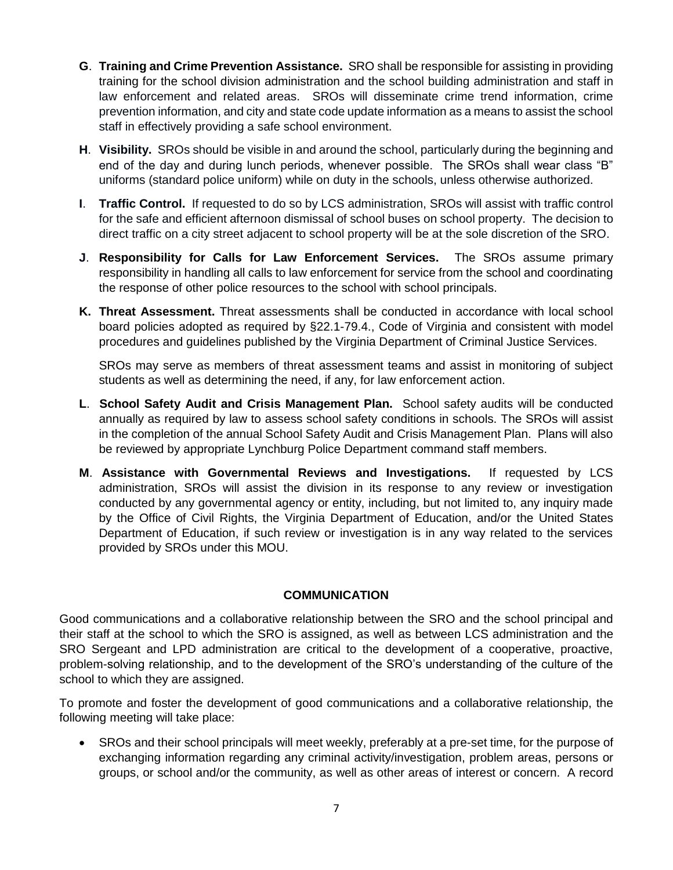- **G**. **Training and Crime Prevention Assistance.** SRO shall be responsible for assisting in providing training for the school division administration and the school building administration and staff in law enforcement and related areas. SROs will disseminate crime trend information, crime prevention information, and city and state code update information as a means to assist the school staff in effectively providing a safe school environment.
- **H**. **Visibility.** SROs should be visible in and around the school, particularly during the beginning and end of the day and during lunch periods, whenever possible. The SROs shall wear class "B" uniforms (standard police uniform) while on duty in the schools, unless otherwise authorized.
- **I**. **Traffic Control.** If requested to do so by LCS administration, SROs will assist with traffic control for the safe and efficient afternoon dismissal of school buses on school property. The decision to direct traffic on a city street adjacent to school property will be at the sole discretion of the SRO.
- **J**. **Responsibility for Calls for Law Enforcement Services.** The SROs assume primary responsibility in handling all calls to law enforcement for service from the school and coordinating the response of other police resources to the school with school principals.
- **K. Threat Assessment.** Threat assessments shall be conducted in accordance with local school board policies adopted as required by §22.1-79.4., Code of Virginia and consistent with model procedures and guidelines published by the Virginia Department of Criminal Justice Services.

SROs may serve as members of threat assessment teams and assist in monitoring of subject students as well as determining the need, if any, for law enforcement action.

- **L**. **School Safety Audit and Crisis Management Plan.** School safety audits will be conducted annually as required by law to assess school safety conditions in schools. The SROs will assist in the completion of the annual School Safety Audit and Crisis Management Plan. Plans will also be reviewed by appropriate Lynchburg Police Department command staff members.
- **M**. **Assistance with Governmental Reviews and Investigations.** If requested by LCS administration, SROs will assist the division in its response to any review or investigation conducted by any governmental agency or entity, including, but not limited to, any inquiry made by the Office of Civil Rights, the Virginia Department of Education, and/or the United States Department of Education, if such review or investigation is in any way related to the services provided by SROs under this MOU.

## **COMMUNICATION**

Good communications and a collaborative relationship between the SRO and the school principal and their staff at the school to which the SRO is assigned, as well as between LCS administration and the SRO Sergeant and LPD administration are critical to the development of a cooperative, proactive, problem-solving relationship, and to the development of the SRO's understanding of the culture of the school to which they are assigned.

To promote and foster the development of good communications and a collaborative relationship, the following meeting will take place:

 SROs and their school principals will meet weekly, preferably at a pre-set time, for the purpose of exchanging information regarding any criminal activity/investigation, problem areas, persons or groups, or school and/or the community, as well as other areas of interest or concern. A record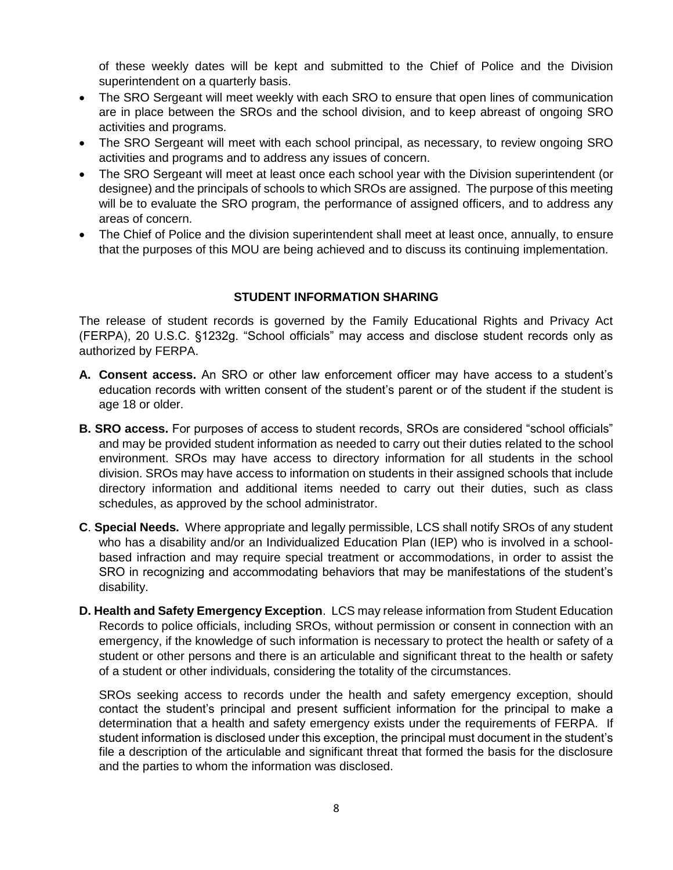of these weekly dates will be kept and submitted to the Chief of Police and the Division superintendent on a quarterly basis.

- The SRO Sergeant will meet weekly with each SRO to ensure that open lines of communication are in place between the SROs and the school division, and to keep abreast of ongoing SRO activities and programs.
- The SRO Sergeant will meet with each school principal, as necessary, to review ongoing SRO activities and programs and to address any issues of concern.
- The SRO Sergeant will meet at least once each school year with the Division superintendent (or designee) and the principals of schools to which SROs are assigned. The purpose of this meeting will be to evaluate the SRO program, the performance of assigned officers, and to address any areas of concern.
- The Chief of Police and the division superintendent shall meet at least once, annually, to ensure that the purposes of this MOU are being achieved and to discuss its continuing implementation.

#### **STUDENT INFORMATION SHARING**

The release of student records is governed by the Family Educational Rights and Privacy Act (FERPA), 20 U.S.C. §1232g. "School officials" may access and disclose student records only as authorized by FERPA.

- **A. Consent access.** An SRO or other law enforcement officer may have access to a student's education records with written consent of the student's parent or of the student if the student is age 18 or older.
- **B. SRO access.** For purposes of access to student records, SROs are considered "school officials" and may be provided student information as needed to carry out their duties related to the school environment. SROs may have access to directory information for all students in the school division. SROs may have access to information on students in their assigned schools that include directory information and additional items needed to carry out their duties, such as class schedules, as approved by the school administrator.
- **C**. **Special Needs.** Where appropriate and legally permissible, LCS shall notify SROs of any student who has a disability and/or an Individualized Education Plan (IEP) who is involved in a schoolbased infraction and may require special treatment or accommodations, in order to assist the SRO in recognizing and accommodating behaviors that may be manifestations of the student's disability.
- **D. Health and Safety Emergency Exception**. LCS may release information from Student Education Records to police officials, including SROs, without permission or consent in connection with an emergency, if the knowledge of such information is necessary to protect the health or safety of a student or other persons and there is an articulable and significant threat to the health or safety of a student or other individuals, considering the totality of the circumstances.

SROs seeking access to records under the health and safety emergency exception, should contact the student's principal and present sufficient information for the principal to make a determination that a health and safety emergency exists under the requirements of FERPA. If student information is disclosed under this exception, the principal must document in the student's file a description of the articulable and significant threat that formed the basis for the disclosure and the parties to whom the information was disclosed.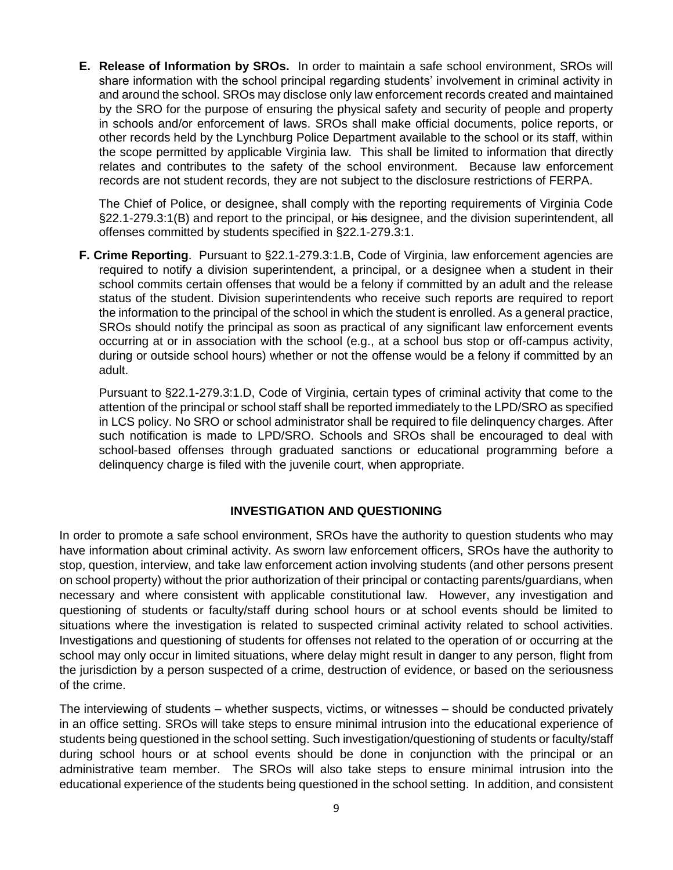**E. Release of Information by SROs.** In order to maintain a safe school environment, SROs will share information with the school principal regarding students' involvement in criminal activity in and around the school. SROs may disclose only law enforcement records created and maintained by the SRO for the purpose of ensuring the physical safety and security of people and property in schools and/or enforcement of laws. SROs shall make official documents, police reports, or other records held by the Lynchburg Police Department available to the school or its staff, within the scope permitted by applicable Virginia law. This shall be limited to information that directly relates and contributes to the safety of the school environment. Because law enforcement records are not student records, they are not subject to the disclosure restrictions of FERPA.

The Chief of Police, or designee, shall comply with the reporting requirements of Virginia Code §22.1-279.3:1(B) and report to the principal, or his designee, and the division superintendent, all offenses committed by students specified in §22.1-279.3:1.

**F. Crime Reporting**. Pursuant to §22.1-279.3:1.B, Code of Virginia, law enforcement agencies are required to notify a division superintendent, a principal, or a designee when a student in their school commits certain offenses that would be a felony if committed by an adult and the release status of the student. Division superintendents who receive such reports are required to report the information to the principal of the school in which the student is enrolled. As a general practice, SROs should notify the principal as soon as practical of any significant law enforcement events occurring at or in association with the school (e.g., at a school bus stop or off-campus activity, during or outside school hours) whether or not the offense would be a felony if committed by an adult.

Pursuant to §22.1-279.3:1.D, Code of Virginia, certain types of criminal activity that come to the attention of the principal or school staff shall be reported immediately to the LPD/SRO as specified in LCS policy. No SRO or school administrator shall be required to file delinquency charges. After such notification is made to LPD/SRO. Schools and SROs shall be encouraged to deal with school-based offenses through graduated sanctions or educational programming before a delinquency charge is filed with the juvenile court, when appropriate.

#### **INVESTIGATION AND QUESTIONING**

In order to promote a safe school environment, SROs have the authority to question students who may have information about criminal activity. As sworn law enforcement officers, SROs have the authority to stop, question, interview, and take law enforcement action involving students (and other persons present on school property) without the prior authorization of their principal or contacting parents/guardians, when necessary and where consistent with applicable constitutional law. However, any investigation and questioning of students or faculty/staff during school hours or at school events should be limited to situations where the investigation is related to suspected criminal activity related to school activities. Investigations and questioning of students for offenses not related to the operation of or occurring at the school may only occur in limited situations, where delay might result in danger to any person, flight from the jurisdiction by a person suspected of a crime, destruction of evidence, or based on the seriousness of the crime.

The interviewing of students – whether suspects, victims, or witnesses – should be conducted privately in an office setting. SROs will take steps to ensure minimal intrusion into the educational experience of students being questioned in the school setting. Such investigation/questioning of students or faculty/staff during school hours or at school events should be done in conjunction with the principal or an administrative team member. The SROs will also take steps to ensure minimal intrusion into the educational experience of the students being questioned in the school setting. In addition, and consistent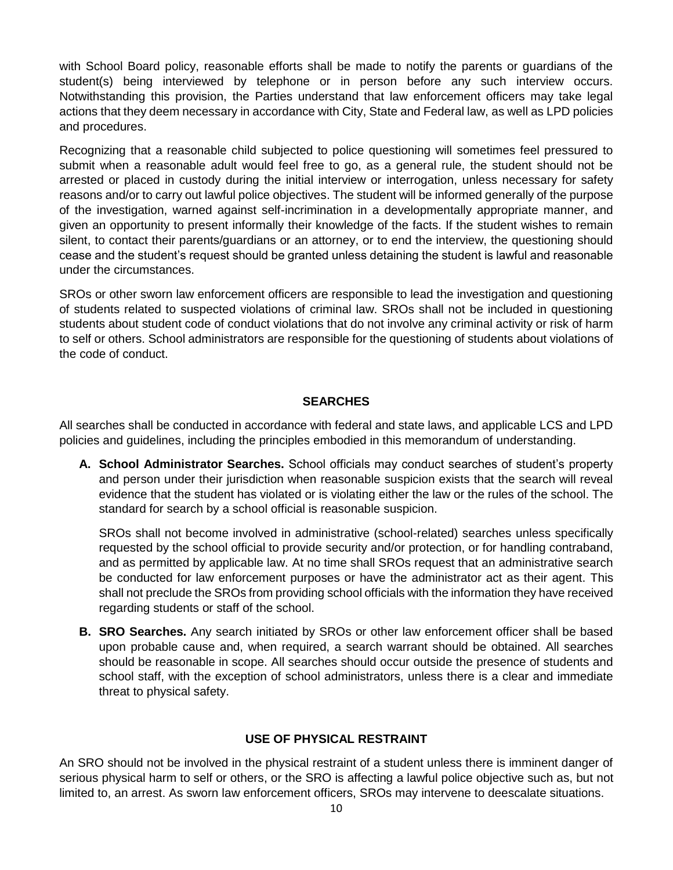with School Board policy, reasonable efforts shall be made to notify the parents or guardians of the student(s) being interviewed by telephone or in person before any such interview occurs. Notwithstanding this provision, the Parties understand that law enforcement officers may take legal actions that they deem necessary in accordance with City, State and Federal law, as well as LPD policies and procedures.

Recognizing that a reasonable child subjected to police questioning will sometimes feel pressured to submit when a reasonable adult would feel free to go, as a general rule, the student should not be arrested or placed in custody during the initial interview or interrogation, unless necessary for safety reasons and/or to carry out lawful police objectives. The student will be informed generally of the purpose of the investigation, warned against self-incrimination in a developmentally appropriate manner, and given an opportunity to present informally their knowledge of the facts. If the student wishes to remain silent, to contact their parents/guardians or an attorney, or to end the interview, the questioning should cease and the student's request should be granted unless detaining the student is lawful and reasonable under the circumstances.

SROs or other sworn law enforcement officers are responsible to lead the investigation and questioning of students related to suspected violations of criminal law. SROs shall not be included in questioning students about student code of conduct violations that do not involve any criminal activity or risk of harm to self or others. School administrators are responsible for the questioning of students about violations of the code of conduct.

#### **SEARCHES**

All searches shall be conducted in accordance with federal and state laws, and applicable LCS and LPD policies and guidelines, including the principles embodied in this memorandum of understanding.

**A. School Administrator Searches.** School officials may conduct searches of student's property and person under their jurisdiction when reasonable suspicion exists that the search will reveal evidence that the student has violated or is violating either the law or the rules of the school. The standard for search by a school official is reasonable suspicion.

SROs shall not become involved in administrative (school-related) searches unless specifically requested by the school official to provide security and/or protection, or for handling contraband, and as permitted by applicable law. At no time shall SROs request that an administrative search be conducted for law enforcement purposes or have the administrator act as their agent. This shall not preclude the SROs from providing school officials with the information they have received regarding students or staff of the school.

**B. SRO Searches.** Any search initiated by SROs or other law enforcement officer shall be based upon probable cause and, when required, a search warrant should be obtained. All searches should be reasonable in scope. All searches should occur outside the presence of students and school staff, with the exception of school administrators, unless there is a clear and immediate threat to physical safety.

#### **USE OF PHYSICAL RESTRAINT**

An SRO should not be involved in the physical restraint of a student unless there is imminent danger of serious physical harm to self or others, or the SRO is affecting a lawful police objective such as, but not limited to, an arrest. As sworn law enforcement officers, SROs may intervene to deescalate situations.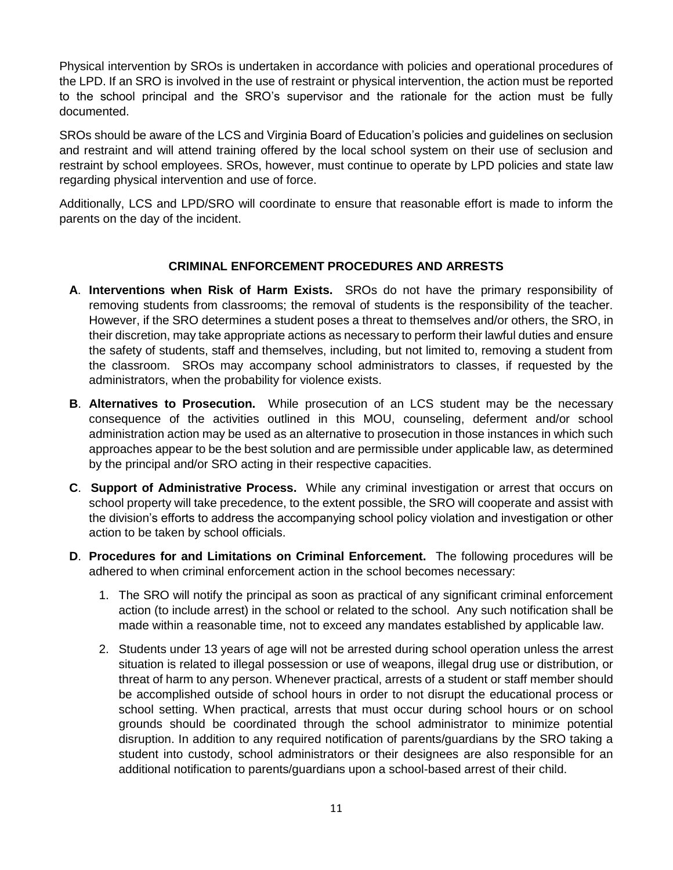Physical intervention by SROs is undertaken in accordance with policies and operational procedures of the LPD. If an SRO is involved in the use of restraint or physical intervention, the action must be reported to the school principal and the SRO's supervisor and the rationale for the action must be fully documented.

SROs should be aware of the LCS and Virginia Board of Education's policies and guidelines on seclusion and restraint and will attend training offered by the local school system on their use of seclusion and restraint by school employees. SROs, however, must continue to operate by LPD policies and state law regarding physical intervention and use of force.

Additionally, LCS and LPD/SRO will coordinate to ensure that reasonable effort is made to inform the parents on the day of the incident.

### **CRIMINAL ENFORCEMENT PROCEDURES AND ARRESTS**

- **A**. **Interventions when Risk of Harm Exists.** SROs do not have the primary responsibility of removing students from classrooms; the removal of students is the responsibility of the teacher. However, if the SRO determines a student poses a threat to themselves and/or others, the SRO, in their discretion, may take appropriate actions as necessary to perform their lawful duties and ensure the safety of students, staff and themselves, including, but not limited to, removing a student from the classroom. SROs may accompany school administrators to classes, if requested by the administrators, when the probability for violence exists.
- **B**. **Alternatives to Prosecution.** While prosecution of an LCS student may be the necessary consequence of the activities outlined in this MOU, counseling, deferment and/or school administration action may be used as an alternative to prosecution in those instances in which such approaches appear to be the best solution and are permissible under applicable law, as determined by the principal and/or SRO acting in their respective capacities.
- **C**. **Support of Administrative Process.** While any criminal investigation or arrest that occurs on school property will take precedence, to the extent possible, the SRO will cooperate and assist with the division's efforts to address the accompanying school policy violation and investigation or other action to be taken by school officials.
- **D**. **Procedures for and Limitations on Criminal Enforcement.** The following procedures will be adhered to when criminal enforcement action in the school becomes necessary:
	- 1. The SRO will notify the principal as soon as practical of any significant criminal enforcement action (to include arrest) in the school or related to the school. Any such notification shall be made within a reasonable time, not to exceed any mandates established by applicable law.
	- 2. Students under 13 years of age will not be arrested during school operation unless the arrest situation is related to illegal possession or use of weapons, illegal drug use or distribution, or threat of harm to any person. Whenever practical, arrests of a student or staff member should be accomplished outside of school hours in order to not disrupt the educational process or school setting. When practical, arrests that must occur during school hours or on school grounds should be coordinated through the school administrator to minimize potential disruption. In addition to any required notification of parents/guardians by the SRO taking a student into custody, school administrators or their designees are also responsible for an additional notification to parents/guardians upon a school-based arrest of their child.